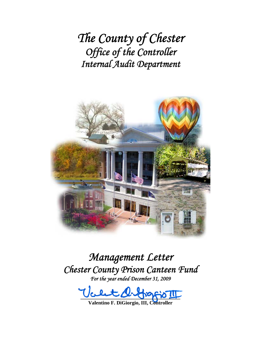*The County of Chester Office of the Controller Internal Audit Department*



*Management Letter Chester County Prison Canteen Fund For the year ended December 31, 2009* 

 $100 - 00 - 00 - 00 - 00 - 00$ 

**Valentino F. DiGiorgio, III, Controller**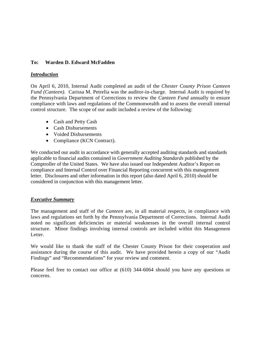## **To: Warden D. Edward McFadden**

#### *Introduction*

On April 6, 2010, Internal Audit completed an audit of the *Chester County Prison Canteen Fund (Canteen)*. Carissa M. Petrelia was the auditor-in-charge. Internal Audit is required by the Pennsylvania Department of Corrections to review the *Canteen Fund* annually to ensure compliance with laws and regulations of the Commonwealth and to assess the overall internal control structure. The scope of our audit included a review of the following:

- Cash and Petty Cash
- Cash Disbursements
- Voided Disbursements
- Compliance (KCN Contract).

We conducted our audit in accordance with generally accepted auditing standards and standards applicable to financial audits contained in *Government Auditing Standards* published by the Comptroller of the United States. We have also issued our Independent Auditor's Report on compliance and Internal Control over Financial Reporting concurrent with this management letter. Disclosures and other information in this report (also dated April 6, 2010) should be considered in conjunction with this management letter.

## *Executive Summary*

The management and staff of the *Canteen* are, in all material respects, in compliance with laws and regulations set forth by the Pennsylvania Department of Corrections. Internal Audit noted no significant deficiencies or material weaknesses in the overall internal control structure. Minor findings involving internal controls are included within this Management Letter.

We would like to thank the staff of the Chester County Prison for their cooperation and assistance during the course of this audit. We have provided herein a copy of our "Audit Findings" and "Recommendations" for your review and comment.

Please feel free to contact our office at (610) 344-6064 should you have any questions or concerns.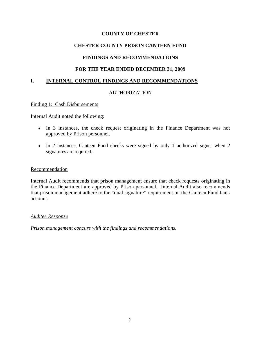#### **COUNTY OF CHESTER**

# **CHESTER COUNTY PRISON CANTEEN FUND**

## **FINDINGS AND RECOMMENDATIONS**

## **FOR THE YEAR ENDED DECEMBER 31, 2009**

## **I. INTERNAL CONTROL FINDINGS AND RECOMMENDATIONS**

#### AUTHORIZATION

#### Finding 1: Cash Disbursements

Internal Audit noted the following:

- In 3 instances, the check request originating in the Finance Department was not approved by Prison personnel.
- In 2 instances, Canteen Fund checks were signed by only 1 authorized signer when 2 signatures are required.

#### **Recommendation**

Internal Audit recommends that prison management ensure that check requests originating in the Finance Department are approved by Prison personnel. Internal Audit also recommends that prison management adhere to the "dual signature" requirement on the Canteen Fund bank account.

#### *Auditee Response*

*Prison management concurs with the findings and recommendations.*